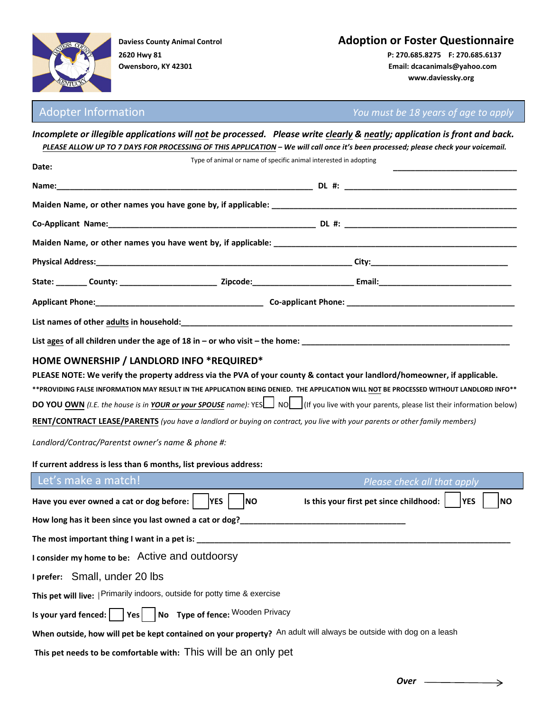

**2620 Hwy 81 P: 270.685.8275 F: 270.685.6137**

# **Daviess County Animal Control Adoption or Foster Questionnaire**

**Owensboro, KY 42301 Email: dcacanimals@yahoo.com www.daviessky.org** 

Adopter Information *You must be 18 years of age to apply*

|                                                                                                                                                                                                                                                                             |                                                                  |  | Incomplete or illegible applications will not be processed. Please write clearly & neatly; application is front and back.<br>PLEASE ALLOW UP TO 7 DAYS FOR PROCESSING OF THIS APPLICATION - We will call once it's been processed; please check your voicemail. |  |  |  |  |
|-----------------------------------------------------------------------------------------------------------------------------------------------------------------------------------------------------------------------------------------------------------------------------|------------------------------------------------------------------|--|-----------------------------------------------------------------------------------------------------------------------------------------------------------------------------------------------------------------------------------------------------------------|--|--|--|--|
| Date:                                                                                                                                                                                                                                                                       | Type of animal or name of specific animal interested in adopting |  |                                                                                                                                                                                                                                                                 |  |  |  |  |
|                                                                                                                                                                                                                                                                             |                                                                  |  |                                                                                                                                                                                                                                                                 |  |  |  |  |
|                                                                                                                                                                                                                                                                             |                                                                  |  |                                                                                                                                                                                                                                                                 |  |  |  |  |
|                                                                                                                                                                                                                                                                             |                                                                  |  |                                                                                                                                                                                                                                                                 |  |  |  |  |
|                                                                                                                                                                                                                                                                             |                                                                  |  |                                                                                                                                                                                                                                                                 |  |  |  |  |
|                                                                                                                                                                                                                                                                             |                                                                  |  |                                                                                                                                                                                                                                                                 |  |  |  |  |
|                                                                                                                                                                                                                                                                             |                                                                  |  |                                                                                                                                                                                                                                                                 |  |  |  |  |
|                                                                                                                                                                                                                                                                             |                                                                  |  |                                                                                                                                                                                                                                                                 |  |  |  |  |
|                                                                                                                                                                                                                                                                             |                                                                  |  |                                                                                                                                                                                                                                                                 |  |  |  |  |
| List ages of all children under the age of 18 in – or who visit – the home: $\frac{1}{2}$ = $\frac{1}{2}$ = $\frac{1}{2}$ = $\frac{1}{2}$ = $\frac{1}{2}$ = $\frac{1}{2}$ = $\frac{1}{2}$ = $\frac{1}{2}$ = $\frac{1}{2}$ = $\frac{1}{2}$ = $\frac{1}{2}$ = $\frac{1}{2}$ = |                                                                  |  |                                                                                                                                                                                                                                                                 |  |  |  |  |
| RENT/CONTRACT LEASE/PARENTS (you have a landlord or buying on contract, you live with your parents or other family members)<br>Landlord/Contrac/Parentst owner's name & phone #:<br>If current address is less than 6 months, list previous address:                        |                                                                  |  | DO YOU OWN (I.E. the house is in YOUR or your SPOUSE name): YES   NO   (If you live with your parents, please list their information below)                                                                                                                     |  |  |  |  |
| Let's make a match!                                                                                                                                                                                                                                                         |                                                                  |  | Please check all that apply                                                                                                                                                                                                                                     |  |  |  |  |
| Have you ever owned a cat or dog before: $ $  YES                                                                                                                                                                                                                           | <b>INO</b>                                                       |  | Is this your first pet since childhood: $\vert$<br><b>YES</b><br>INO                                                                                                                                                                                            |  |  |  |  |
| How long has it been since you last owned a cat or dog?__                                                                                                                                                                                                                   |                                                                  |  |                                                                                                                                                                                                                                                                 |  |  |  |  |
| The most important thing I want in a pet is:                                                                                                                                                                                                                                |                                                                  |  |                                                                                                                                                                                                                                                                 |  |  |  |  |
| I consider my home to be: Active and outdoorsy                                                                                                                                                                                                                              |                                                                  |  |                                                                                                                                                                                                                                                                 |  |  |  |  |
| I prefer: Small, under 20 lbs                                                                                                                                                                                                                                               |                                                                  |  |                                                                                                                                                                                                                                                                 |  |  |  |  |
| This pet will live:   Primarily indoors, outside for potty time & exercise                                                                                                                                                                                                  |                                                                  |  |                                                                                                                                                                                                                                                                 |  |  |  |  |
| No Type of fence: Wooden Privacy<br>Is your yard fenced: $\vert$<br>Yes                                                                                                                                                                                                     |                                                                  |  |                                                                                                                                                                                                                                                                 |  |  |  |  |
| When outside, how will pet be kept contained on your property? An adult will always be outside with dog on a leash                                                                                                                                                          |                                                                  |  |                                                                                                                                                                                                                                                                 |  |  |  |  |
| This pet needs to be comfortable with: This will be an only pet                                                                                                                                                                                                             |                                                                  |  |                                                                                                                                                                                                                                                                 |  |  |  |  |